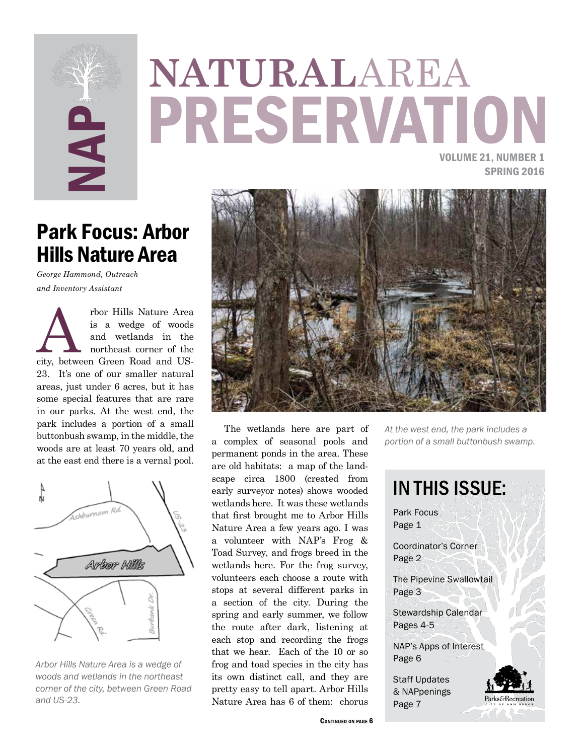

# SERVATION **NATURAL**AREA

VOLUME 21, NUMBER 1 SPRING 2016

## Park Focus: Arbor Hills Nature Area

*George Hammond, Outreach and Inventory Assistant*

The read is a wedge of woods<br>
and wetlands in the<br>
northeast corner of the<br>
city, between Green Road and USis a wedge of woods and wetlands in the northeast corner of the 23. It's one of our smaller natural areas, just under 6 acres, but it has some special features that are rare in our parks. At the west end, the park includes a portion of a small buttonbush swamp, in the middle, the woods are at least 70 years old, and at the east end there is a vernal pool.



*Arbor Hills Nature Area is a wedge of woods and wetlands in the northeast corner of the city, between Green Road and US-23.*



The wetlands here are part of a complex of seasonal pools and permanent ponds in the area. These are old habitats: a map of the landscape circa 1800 (created from early surveyor notes) shows wooded wetlands here. It was these wetlands that first brought me to Arbor Hills Nature Area a few years ago. I was a volunteer with NAP's Frog & Toad Survey, and frogs breed in the wetlands here. For the frog survey, volunteers each choose a route with stops at several different parks in a section of the city. During the spring and early summer, we follow the route after dark, listening at each stop and recording the frogs that we hear. Each of the 10 or so frog and toad species in the city has its own distinct call, and they are pretty easy to tell apart. Arbor Hills Nature Area has 6 of them: chorus

IN THIS ISSUE: Park Focus Page 1 Coordinator's Corner Page 2 The Pipevine Swallowtail Page 3 Stewardship Calendar Pages 4-5 NAP's Apps of Interest Page 6 Staff Updates & NAPpenings arks&Recreation Page 7

*portion of a small buttonbush swamp.*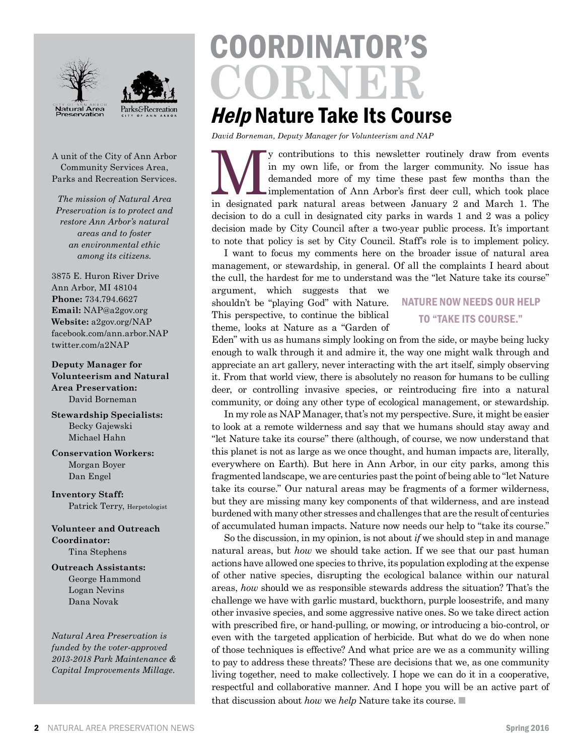



A unit of the City of Ann Arbor Community Services Area, Parks and Recreation Services.

*The mission of Natural Area Preservation is to protect and restore Ann Arbor's natural areas and to foster an environmental ethic among its citizens.*

3875 E. Huron River Drive Ann Arbor, MI 48104 **Phone:** 734.794.6627 **Email:** NAP@a2gov.org **Website:** a2gov.org/NAP facebook.com/ann.arbor.NAP twitter.com/a2NAP

**Deputy Manager for Volunteerism and Natural Area Preservation:** David Borneman

**Stewardship Specialists:** Becky Gajewski Michael Hahn

**Conservation Workers:** Morgan Boyer Dan Engel

**Inventory Staff:** Patrick Terry, Herpetologist

**Volunteer and Outreach Coordinator:** Tina Stephens

**Outreach Assistants:** George Hammond Logan Nevins Dana Novak

*Natural Area Preservation is funded by the voter-approved 2013-2018 Park Maintenance & Capital Improvements Millage.*

# COORDINATOR'S **CORNER**

# **Help Nature Take Its Course**

*David Borneman, Deputy Manager for Volunteerism and NAP*

We contributions to this newsletter routinely draw from events<br>
in my own life, or from the larger community. No issue has<br>
demanded more of my time these past few months than the<br>
implementation of Ann Arbor's first deer in my own life, or from the larger community. No issue has demanded more of my time these past few months than the implementation of Ann Arbor's first deer cull, which took place decision to do a cull in designated city parks in wards 1 and 2 was a policy decision made by City Council after a two-year public process. It's important to note that policy is set by City Council. Staff's role is to implement policy.

I want to focus my comments here on the broader issue of natural area management, or stewardship, in general. Of all the complaints I heard about the cull, the hardest for me to understand was the "let Nature take its course"

argument, which suggests that we shouldn't be "playing God" with Nature. This perspective, to continue the biblical theme, looks at Nature as a "Garden of

#### NATURE NOW NEEDS OUR HELP TO "TAKE ITS COURSE."

Eden" with us as humans simply looking on from the side, or maybe being lucky enough to walk through it and admire it, the way one might walk through and appreciate an art gallery, never interacting with the art itself, simply observing it. From that world view, there is absolutely no reason for humans to be culling deer, or controlling invasive species, or reintroducing fire into a natural community, or doing any other type of ecological management, or stewardship.

In my role as NAP Manager, that's not my perspective. Sure, it might be easier to look at a remote wilderness and say that we humans should stay away and "let Nature take its course" there (although, of course, we now understand that this planet is not as large as we once thought, and human impacts are, literally, everywhere on Earth). But here in Ann Arbor, in our city parks, among this fragmented landscape, we are centuries past the point of being able to "let Nature take its course." Our natural areas may be fragments of a former wilderness, but they are missing many key components of that wilderness, and are instead burdened with many other stresses and challenges that are the result of centuries of accumulated human impacts. Nature now needs our help to "take its course."

So the discussion, in my opinion, is not about *if* we should step in and manage natural areas, but *how* we should take action. If we see that our past human actions have allowed one species to thrive, its population exploding at the expense of other native species, disrupting the ecological balance within our natural areas, *how* should we as responsible stewards address the situation? That's the challenge we have with garlic mustard, buckthorn, purple loosestrife, and many other invasive species, and some aggressive native ones. So we take direct action with prescribed fire, or hand-pulling, or mowing, or introducing a bio-control, or even with the targeted application of herbicide. But what do we do when none of those techniques is effective? And what price are we as a community willing to pay to address these threats? These are decisions that we, as one community living together, need to make collectively. I hope we can do it in a cooperative, respectful and collaborative manner. And I hope you will be an active part of that discussion about *how* we *help* Nature take its course. ■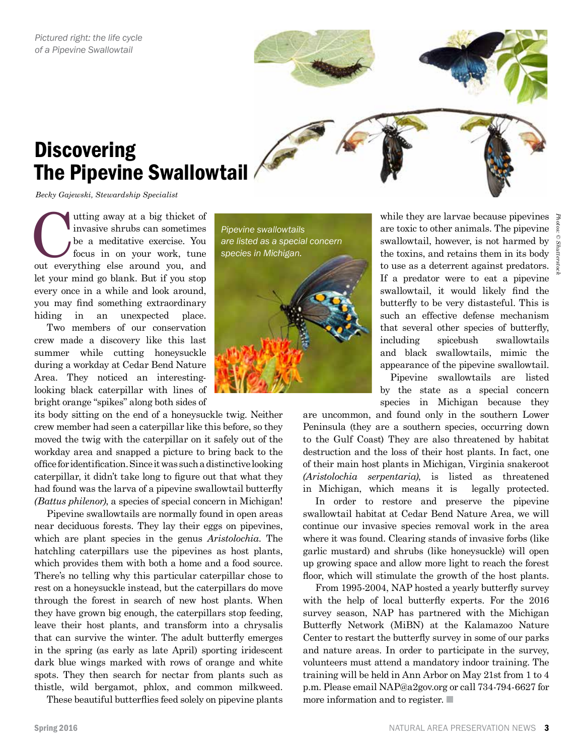

# **Discovering** The Pipevine Swallowtail

*Becky Gajewski, Stewardship Specialist*

Utting away at a big thicket of invasive shrubs can sometimes be a meditative exercise. You focus in on your work, tune out everything else around you, and invasive shrubs can sometimes be a meditative exercise. You focus in on your work, tune let your mind go blank. But if you stop every once in a while and look around, you may find something extraordinary hiding in an unexpected place.

Two members of our conservation crew made a discovery like this last summer while cutting honeysuckle during a workday at Cedar Bend Nature Area. They noticed an interestinglooking black caterpillar with lines of bright orange "spikes" along both sides of

its body sitting on the end of a honeysuckle twig. Neither crew member had seen a caterpillar like this before, so they moved the twig with the caterpillar on it safely out of the workday area and snapped a picture to bring back to the office for identification. Since it was such a distinctive looking caterpillar, it didn't take long to figure out that what they had found was the larva of a pipevine swallowtail butterfly *(Battus philenor)*, a species of special concern in Michigan!

Pipevine swallowtails are normally found in open areas near deciduous forests. They lay their eggs on pipevines, which are plant species in the genus *Aristolochia*. The hatchling caterpillars use the pipevines as host plants, which provides them with both a home and a food source. There's no telling why this particular caterpillar chose to rest on a honeysuckle instead, but the caterpillars do move through the forest in search of new host plants. When they have grown big enough, the caterpillars stop feeding, leave their host plants, and transform into a chrysalis that can survive the winter. The adult butterfly emerges in the spring (as early as late April) sporting iridescent dark blue wings marked with rows of orange and white spots. They then search for nectar from plants such as thistle, wild bergamot, phlox, and common milkweed.

These beautiful butterflies feed solely on pipevine plants

*Pipevine swallowtails are listed as a special concern species in Michigan.*

while they are larvae because pipevines are toxic to other animals. The pipevine swallowtail, however, is not harmed by the toxins, and retains them in its body to use as a deterrent against predators. If a predator were to eat a pipevine swallowtail, it would likely find the butterfly to be very distasteful. This is such an effective defense mechanism that several other species of butterfly, including spicebush swallowtails and black swallowtails, mimic the appearance of the pipevine swallowtail.

 Pipevine swallowtails are listed by the state as a special concern species in Michigan because they

are uncommon, and found only in the southern Lower Peninsula (they are a southern species, occurring down to the Gulf Coast) They are also threatened by habitat destruction and the loss of their host plants. In fact, one of their main host plants in Michigan, Virginia snakeroot *(Aristolochia serpentaria)*, is listed as threatened in Michigan, which means it is legally protected.

In order to restore and preserve the pipevine swallowtail habitat at Cedar Bend Nature Area, we will continue our invasive species removal work in the area where it was found. Clearing stands of invasive forbs (like garlic mustard) and shrubs (like honeysuckle) will open up growing space and allow more light to reach the forest floor, which will stimulate the growth of the host plants.

From 1995-2004, NAP hosted a yearly butterfly survey with the help of local butterfly experts. For the 2016 survey season, NAP has partnered with the Michigan Butterfly Network (MiBN) at the Kalamazoo Nature Center to restart the butterfly survey in some of our parks and nature areas. In order to participate in the survey, volunteers must attend a mandatory indoor training. The training will be held in Ann Arbor on May 21st from 1 to 4 p.m. Please email NAP@a2gov.org or call 734-794-6627 for more information and to register. ■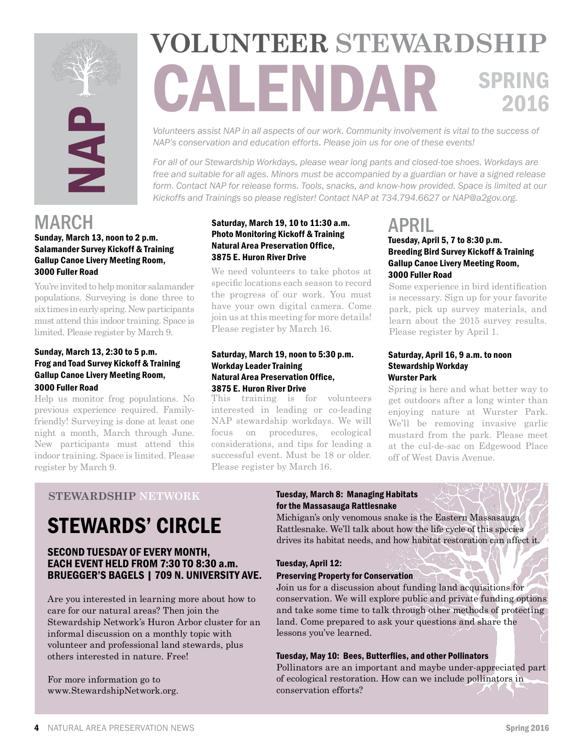

# **EXAMPLE AREA PROPERTY AND AREA PROPERTY AND AREA PROPERTY AND AREA PROPERTY AND AREA PROPERTY AND AREA PROPERTY AND AREA PROPERTY AND AREA PROPERTY AND A CONSULTER PROPERTY AND A CONSULTER PROPERTY AND A CONSULTER PROPER VOLUNTEER STEWARDSHIP** SPRING 2016

*Volunteers assist NAP in all aspects of our work. Community involvement is vital to the success of NAP's conservation and education efforts. Please join us for one of these events!* 

*For all of our Stewardship Workdays, please wear long pants and closed-toe shoes. Workdays are free and suitable for all ages. Minors must be accompanied by a guardian or have a signed release form. Contact NAP for release forms. Tools, snacks, and know-how provided. Space is limited at our Kickoffs and Trainings so please register! Contact NAP at 734.794.6627 or NAP@a2gov.org.*

## MARCH

#### Sunday, March 13, noon to 2 p.m. Salamander Survey Kickoff & Training Gallup Canoe Livery Meeting Room, 3000 Fuller Road

You're invited to help monitor salamander populations. Surveying is done three to six times in early spring. New participants must attend this indoor training. Space is limited. Please register by March 9.

#### Sunday, March 13, 2:30 to 5 p.m. Frog and Toad Survey Kickoff & Training Gallup Canoe Livery Meeting Room, 3000 Fuller Road

Help us monitor frog populations. No previous experience required. Familyfriendly! Surveying is done at least one night a month, March through June. New participants must attend this indoor training. Space is limited. Please register by March 9.

#### Saturday, March 19, 10 to 11:30 a.m. Photo Monitoring Kickoff & Training Natural Area Preservation Office, 3875 E. Huron River Drive

We need volunteers to take photos at specific locations each season to record the progress of our work. You must have your own digital camera. Come join us at this meeting for more details! Please register by March 16.

#### Saturday, March 19, noon to 5:30 p.m. Workday Leader Training Natural Area Preservation Office, 3875 E. Huron River Drive

. This training is for volunteers interested in leading or co-leading NAP stewardship workdays. We will focus on procedures, ecological considerations, and tips for leading a successful event. Must be 18 or older. Please register by March 16.

# APRIL

#### Tuesday, April 5, 7 to 8:30 p.m. Breeding Bird Survey Kickoff & Training Gallup Canoe Livery Meeting Room, 3000 Fuller Road

Some experience in bird identification is necessary. Sign up for your favorite park, pick up survey materials, and learn about the 2015 survey results. Please register by April 1.

#### Saturday, April 16, 9 a.m. to noon Stewardship Workday Wurster Park

. Spring is here and what better way to get outdoors after a long winter than enjoying nature at Wurster Park. We'll be removing invasive garlic mustard from the park. Please meet at the cul-de-sac on Edgewood Place off of West Davis Avenue.

#### **STEWARDSHIP NETWORK**

# STEWARDS' CIRCLE

#### SECOND TUESDAY OF EVERY MONTH, EACH EVENT HELD FROM 7:30 TO 8:30 a.m. BRUEGGER'S BAGELS | 709 N. UNIVERSITY AVE.

Are you interested in learning more about how to care for our natural areas? Then join the Stewardship Network's Huron Arbor cluster for an informal discussion on a monthly topic with volunteer and professional land stewards, plus others interested in nature. Free!

For more information go to www.StewardshipNetwork.org.

#### Tuesday, March 8: Managing Habitats for the Massasauga Rattlesnake

Michigan's only venomous snake is the Eastern Massasauga Rattlesnake. We'll talk about how the life cycle of this species drives its habitat needs, and how habitat restoration can affect it.

#### Tuesday, April 12:

#### Preserving Property for Conservation

Join us for a discussion about funding land acquisitions for conservation. We will explore public and private funding options and take some time to talk through other methods of protecting land. Come prepared to ask your questions and share the lessons you've learned.

#### Tuesday, May 10: Bees, Butterflies, and other Pollinators

Pollinators are an important and maybe under-appreciated part of ecological restoration. How can we include pollinators in conservation efforts?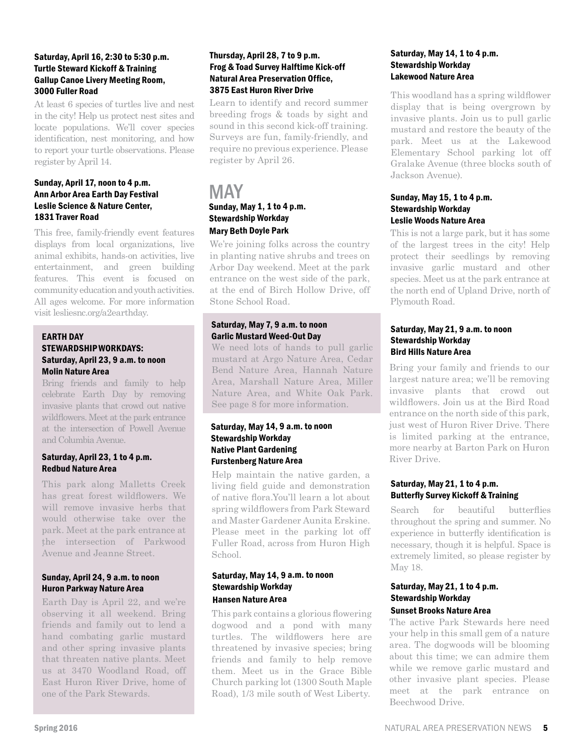#### Saturday, April 16, 2:30 to 5:30 p.m. Turtle Steward Kickoff & Training Gallup Canoe Livery Meeting Room, 3000 Fuller Road

At least 6 species of turtles live and nest in the city! Help us protect nest sites and locate populations. We'll cover species identification, nest monitoring, and how to report your turtle observations. Please register by April 14.

#### Sunday, April 17, noon to 4 p.m. Ann Arbor Area Earth Day Festival Leslie Science & Nature Center, 1831 Traver Road

This free, family-friendly event features displays from local organizations, live animal exhibits, hands-on activities, live entertainment, and green building features. This event is focused on community education and youth activities. All ages welcome. For more information visit lesliesnc.org/a2earthday.

#### EARTH DAY STEWARDSHIP WORKDAYS: Saturday, April 23, 9 a.m. to noon Molin Nature Area

. wildflowers. Meet at the park entrance Bring friends and family to help celebrate Earth Day by removing invasive plants that crowd out native at the intersection of Powell Avenue and Columbia Avenue.

#### Saturday, April 23, 1 to 4 p.m. Redbud Nature Area

. the intersection of Parkwood This park along Malletts Creek has great forest wildflowers. We will remove invasive herbs that would otherwise take over the park. Meet at the park entrance at Avenue and Jeanne Street.

#### Sunday, April 24, 9 a.m. to noon Huron Parkway Nature Area

Earth Day is April 22, and we're observing it all weekend. Bring friends and family out to lend a hand combating garlic mustard and other spring invasive plants that threaten native plants. Meet us at 3470 Woodland Road, off East Huron River Drive, home of one of the Park Stewards.

#### Thursday, April 28, 7 to 9 p.m. Frog & Toad Survey Halftime Kick-off Natural Area Preservation Office, 3875 East Huron River Drive

Learn to identify and record summer breeding frogs & toads by sight and sound in this second kick-off training. Surveys are fun, family-friendly, and require no previous experience. Please register by April 26.

#### MAY Sunday, May 1, 1 to 4 p.m. Stewardship Workday Mary Beth Doyle Park

We're joining folks across the country in planting native shrubs and trees on Arbor Day weekend. Meet at the park entrance on the west side of the park, at the end of Birch Hollow Drive, off Stone School Road.

#### Saturday, May 7, 9 a.m. to noon Garlic Mustard Weed-Out Day

We need lots of hands to pull garlic mustard at Argo Nature Area, Cedar Bend Nature Area, Hannah Nature Area, Marshall Nature Area, Miller Nature Area, and White Oak Park. See page 8 for more information.

#### Saturday, May 14, 9 a.m. to noon Stewardship Workday Native Plant Gardening Furstenberg Nature Area

Help maintain the native garden, a living field guide and demonstration of native flora.You'll learn a lot about spring wildflowers from Park Steward and Master Gardener Aunita Erskine. Please meet in the parking lot off Fuller Road, across from Huron High School.

#### Saturday, May 14, 9 a.m. to noon Stewardship Workday Hansen Nature Area

This park contains a glorious flowering dogwood and a pond with many turtles. The wildflowers here are threatened by invasive species; bring friends and family to help remove them. Meet us in the Grace Bible Church parking lot (1300 South Maple Road), 1/3 mile south of West Liberty.

#### Saturday, May 14, 1 to 4 p.m. Stewardship Workday Lakewood Nature Area

This woodland has a spring wildflower display that is being overgrown by invasive plants. Join us to pull garlic mustard and restore the beauty of the park. Meet us at the Lakewood Elementary School parking lot off Gralake Avenue (three blocks south of Jackson Avenue).

#### Sunday, May 15, 1 to 4 p.m. Stewardship Workday Leslie Woods Nature Area

This is not a large park, but it has some of the largest trees in the city! Help protect their seedlings by removing invasive garlic mustard and other species. Meet us at the park entrance at the north end of Upland Drive, north of Plymouth Road.

#### Saturday, May 21, 9 a.m. to noon Stewardship Workday Bird Hills Nature Area

Bring your family and friends to our largest nature area; we'll be removing invasive plants that crowd out wildflowers. Join us at the Bird Road entrance on the north side of this park, just west of Huron River Drive. There is limited parking at the entrance, more nearby at Barton Park on Huron River Drive.

#### Saturday, May 21, 1 to 4 p.m. Butterfly Survey Kickoff & Training

Search for beautiful butterflies throughout the spring and summer. No experience in butterfly identification is necessary, though it is helpful. Space is extremely limited, so please register by May 18.

#### Saturday, May 21, 1 to 4 p.m. Stewardship Workday Sunset Brooks Nature Area

The active Park Stewards here need your help in this small gem of a nature area. The dogwoods will be blooming about this time; we can admire them while we remove garlic mustard and other invasive plant species. Please meet at the park entrance on Beechwood Drive.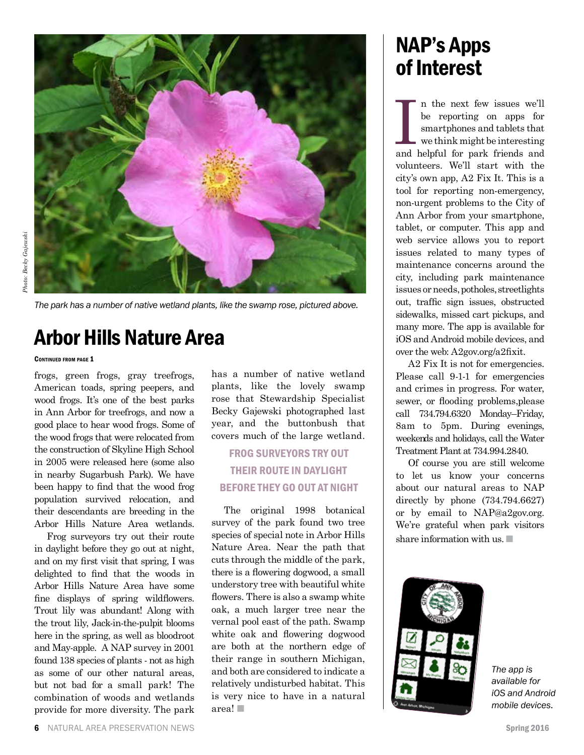

*The park has a number of native wetland plants, like the swamp rose, pictured above.*

## Arbor Hills Nature Area

#### CONTINUED FROM PAGE 1

frogs, green frogs, gray treefrogs, American toads, spring peepers, and wood frogs. It's one of the best parks in Ann Arbor for treefrogs, and now a good place to hear wood frogs. Some of the wood frogs that were relocated from the construction of Skyline High School in 2005 were released here (some also in nearby Sugarbush Park). We have been happy to find that the wood frog population survived relocation, and their descendants are breeding in the Arbor Hills Nature Area wetlands.

Frog surveyors try out their route in daylight before they go out at night, and on my first visit that spring, I was delighted to find that the woods in Arbor Hills Nature Area have some fine displays of spring wildflowers. Trout lily was abundant! Along with the trout lily, Jack-in-the-pulpit blooms here in the spring, as well as bloodroot and May-apple. A NAP survey in 2001 found 138 species of plants - not as high as some of our other natural areas, but not bad for a small park! The combination of woods and wetlands provide for more diversity. The park has a number of native wetland plants, like the lovely swamp rose that Stewardship Specialist Becky Gajewski photographed last year, and the buttonbush that covers much of the large wetland.

#### FROG SURVEYORS TRY OUT THEIR ROUTE IN DAYLIGHT BEFORE THEY GO OUT AT NIGHT

The original 1998 botanical survey of the park found two tree species of special note in Arbor Hills Nature Area. Near the path that cuts through the middle of the park, there is a flowering dogwood, a small understory tree with beautiful white flowers. There is also a swamp white oak, a much larger tree near the vernal pool east of the path. Swamp white oak and flowering dogwood are both at the northern edge of their range in southern Michigan, and both are considered to indicate a relatively undisturbed habitat. This is very nice to have in a natural area! ■

# NAP's Apps of Interest

In the next few issues we'll be reporting on apps for smartphones and tablets that we think might be interesting and helpful for park friends and n the next few issues we'll be reporting on apps for smartphones and tablets that we think might be interesting volunteers. We'll start with the city's own app, A2 Fix It. This is a tool for reporting non-emergency, non-urgent problems to the City of Ann Arbor from your smartphone, tablet, or computer. This app and web service allows you to report issues related to many types of maintenance concerns around the city, including park maintenance issues or needs, potholes, streetlights out, traffic sign issues, obstructed sidewalks, missed cart pickups, and many more. The app is available for iOS and Android mobile devices, and over the web: A2gov.org/a2fixit.

A2 Fix It is not for emergencies. Please call 9-1-1 for emergencies and crimes in progress. For water, sewer, or flooding problems,please call 734.794.6320 Monday–Friday, 8am to 5pm. During evenings, weekends and holidays, call the Water Treatment Plant at 734.994.2840.

Of course you are still welcome to let us know your concerns about our natural areas to NAP directly by phone (734.794.6627) or by email to NAP@a2gov.org. We're grateful when park visitors share information with us.



*The app is available for iOS and Android mobile devices.*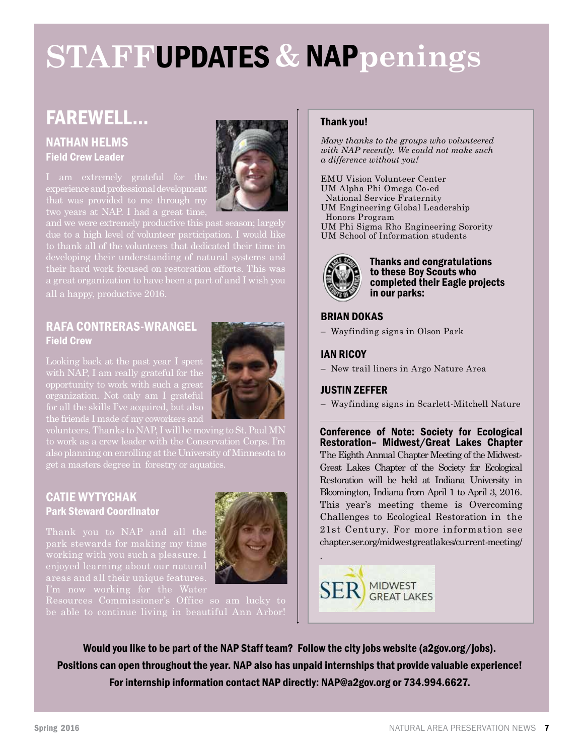# **STAFF**UPDATES **&** NAP**penings**

## FAREWELL…

#### NATHAN HELMS Field Crew Leader

that was provided to me through my



and we were extremely productive this past season; largely their hard work focused on restoration efforts. This was a great organization to have been a part of and I wish you all a happy, productive 2016.

#### RAFA CONTRERAS-WRANGEL Field Crew

opportunity to work with such a great

volunteers. Thanks to NAP, I will be moving to St. Paul MN

#### CATIE WYTYCHAK Park Steward Coordinator

areas and all their unique features.



Resources Commissioner's Office so am lucky to

#### Thank you!

*Many thanks to the groups who volunteered with NAP recently. We could not make such a difference without you!*

EMU Vision Volunteer Center UM Alpha Phi Omega Co-ed National Service Fraternity UM Engineering Global Leadership Honors Program UM Phi Sigma Rho Engineering Sorority UM School of Information students



Thanks and congratulations to these Boy Scouts who completed their Eagle projects in our parks:

#### BRIAN DOKAS

– Wayfinding signs in Olson Park

#### IAN RICOY

– New trail liners in Argo Nature Area

#### JUSTIN ZEFFER

– Wayfinding signs in Scarlett-Mitchell Nature

Conference of Note: Society for Ecological Restoration– Midwest/Great Lakes Chapter The Eighth Annual Chapter Meeting of the Midwest-Great Lakes Chapter of the Society for Ecological Restoration will be held at Indiana University in Bloomington, Indiana from April 1 to April 3, 2016. This year's meeting theme is Overcoming Challenges to Ecological Restoration in the 21st Century. For more information see chapter.ser.org/midwestgreatlakes/current-meeting/



Would you like to be part of the NAP Staff team? Follow the city jobs website (a2gov.org/jobs). Positions can open throughout the year. NAP also has unpaid internships that provide valuable experience! For internship information contact NAP directly: NAP@a2gov.org or 734.994.6627.